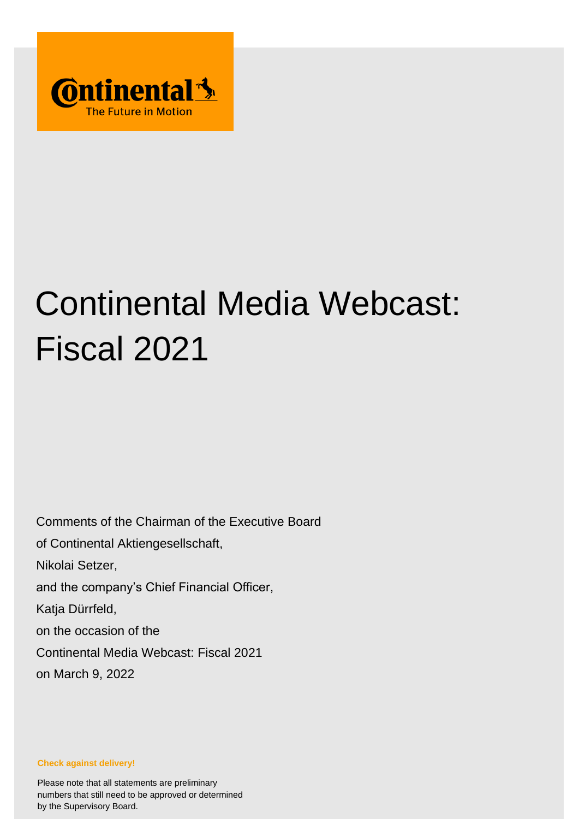

# Continental Media Webcast: Fiscal 2021

Comments of the Chairman of the Executive Board of Continental Aktiengesellschaft, Nikolai Setzer, and the company's Chief Financial Officer, Katja Dürrfeld, on the occasion of the Continental Media Webcast: Fiscal 2021 on March 9, 2022

**Check against delivery!**

Please note that all statements are preliminary numbers that still need to be approved or determined by the Supervisory Board.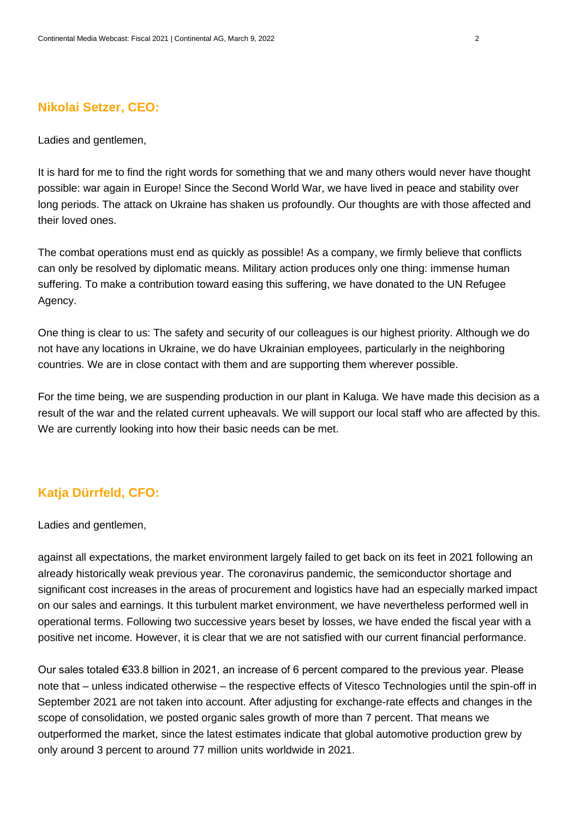### **Nikolai Setzer, CEO:**

Ladies and gentlemen,

It is hard for me to find the right words for something that we and many others would never have thought possible: war again in Europe! Since the Second World War, we have lived in peace and stability over long periods. The attack on Ukraine has shaken us profoundly. Our thoughts are with those affected and their loved ones.

The combat operations must end as quickly as possible! As a company, we firmly believe that conflicts can only be resolved by diplomatic means. Military action produces only one thing: immense human suffering. To make a contribution toward easing this suffering, we have donated to the UN Refugee Agency.

One thing is clear to us: The safety and security of our colleagues is our highest priority. Although we do not have any locations in Ukraine, we do have Ukrainian employees, particularly in the neighboring countries. We are in close contact with them and are supporting them wherever possible.

For the time being, we are suspending production in our plant in Kaluga. We have made this decision as a result of the war and the related current upheavals. We will support our local staff who are affected by this. We are currently looking into how their basic needs can be met.

## **Katja Dürrfeld, CFO:**

Ladies and gentlemen,

against all expectations, the market environment largely failed to get back on its feet in 2021 following an already historically weak previous year. The coronavirus pandemic, the semiconductor shortage and significant cost increases in the areas of procurement and logistics have had an especially marked impact on our sales and earnings. It this turbulent market environment, we have nevertheless performed well in operational terms. Following two successive years beset by losses, we have ended the fiscal year with a positive net income. However, it is clear that we are not satisfied with our current financial performance.

Our sales totaled €33.8 billion in 2021, an increase of 6 percent compared to the previous year. Please note that – unless indicated otherwise – the respective effects of Vitesco Technologies until the spin-off in September 2021 are not taken into account. After adjusting for exchange-rate effects and changes in the scope of consolidation, we posted organic sales growth of more than 7 percent. That means we outperformed the market, since the latest estimates indicate that global automotive production grew by only around 3 percent to around 77 million units worldwide in 2021.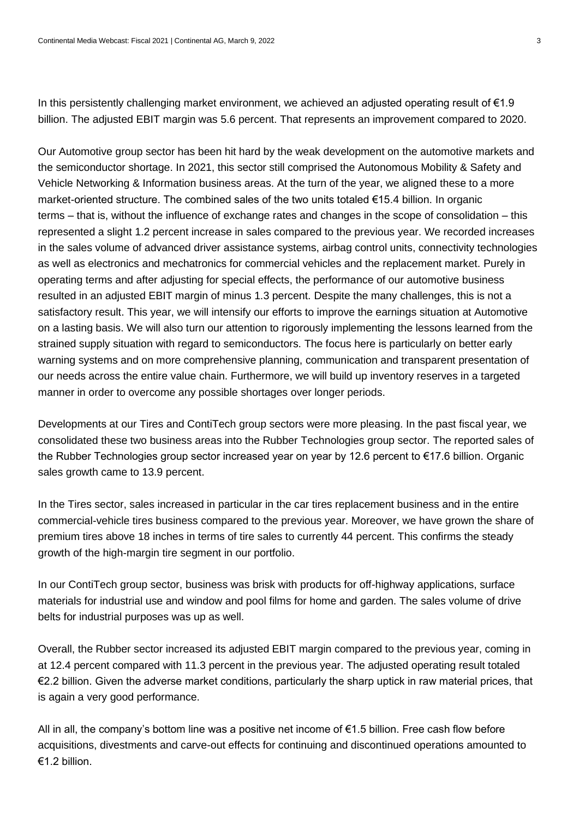In this persistently challenging market environment, we achieved an adjusted operating result of €1.9 billion. The adjusted EBIT margin was 5.6 percent. That represents an improvement compared to 2020.

Our Automotive group sector has been hit hard by the weak development on the automotive markets and the semiconductor shortage. In 2021, this sector still comprised the Autonomous Mobility & Safety and Vehicle Networking & Information business areas. At the turn of the year, we aligned these to a more market-oriented structure. The combined sales of the two units totaled €15.4 billion. In organic terms – that is, without the influence of exchange rates and changes in the scope of consolidation – this represented a slight 1.2 percent increase in sales compared to the previous year. We recorded increases in the sales volume of advanced driver assistance systems, airbag control units, connectivity technologies as well as electronics and mechatronics for commercial vehicles and the replacement market. Purely in operating terms and after adjusting for special effects, the performance of our automotive business resulted in an adjusted EBIT margin of minus 1.3 percent. Despite the many challenges, this is not a satisfactory result. This year, we will intensify our efforts to improve the earnings situation at Automotive on a lasting basis. We will also turn our attention to rigorously implementing the lessons learned from the strained supply situation with regard to semiconductors. The focus here is particularly on better early warning systems and on more comprehensive planning, communication and transparent presentation of our needs across the entire value chain. Furthermore, we will build up inventory reserves in a targeted manner in order to overcome any possible shortages over longer periods.

Developments at our Tires and ContiTech group sectors were more pleasing. In the past fiscal year, we consolidated these two business areas into the Rubber Technologies group sector. The reported sales of the Rubber Technologies group sector increased year on year by 12.6 percent to €17.6 billion. Organic sales growth came to 13.9 percent.

In the Tires sector, sales increased in particular in the car tires replacement business and in the entire commercial-vehicle tires business compared to the previous year. Moreover, we have grown the share of premium tires above 18 inches in terms of tire sales to currently 44 percent. This confirms the steady growth of the high-margin tire segment in our portfolio.

In our ContiTech group sector, business was brisk with products for off-highway applications, surface materials for industrial use and window and pool films for home and garden. The sales volume of drive belts for industrial purposes was up as well.

Overall, the Rubber sector increased its adjusted EBIT margin compared to the previous year, coming in at 12.4 percent compared with 11.3 percent in the previous year. The adjusted operating result totaled €2.2 billion. Given the adverse market conditions, particularly the sharp uptick in raw material prices, that is again a very good performance.

All in all, the company's bottom line was a positive net income of €1.5 billion. Free cash flow before acquisitions, divestments and carve-out effects for continuing and discontinued operations amounted to €1.2 billion.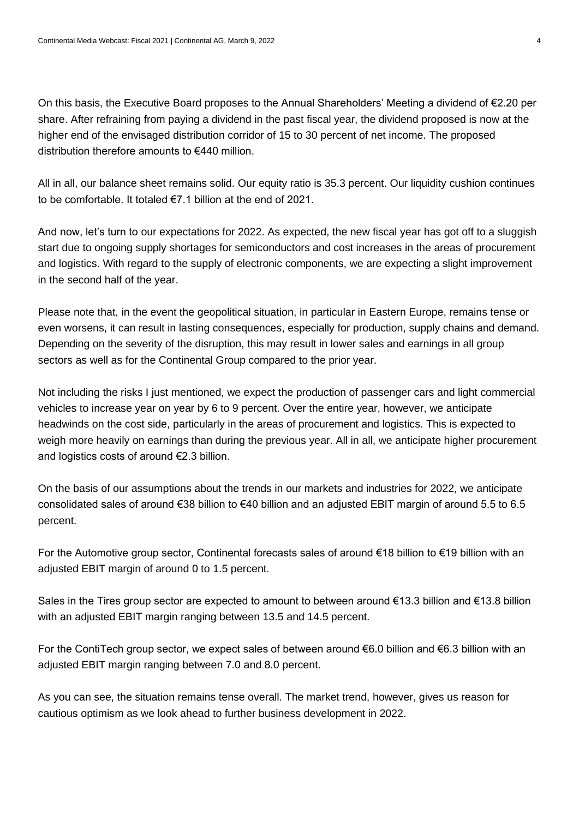On this basis, the Executive Board proposes to the Annual Shareholders' Meeting a dividend of €2.20 per share. After refraining from paying a dividend in the past fiscal year, the dividend proposed is now at the higher end of the envisaged distribution corridor of 15 to 30 percent of net income. The proposed distribution therefore amounts to €440 million.

All in all, our balance sheet remains solid. Our equity ratio is 35.3 percent. Our liquidity cushion continues to be comfortable. It totaled  $\epsilon$ 7.1 billion at the end of 2021.

And now, let's turn to our expectations for 2022. As expected, the new fiscal year has got off to a sluggish start due to ongoing supply shortages for semiconductors and cost increases in the areas of procurement and logistics. With regard to the supply of electronic components, we are expecting a slight improvement in the second half of the year.

Please note that, in the event the geopolitical situation, in particular in Eastern Europe, remains tense or even worsens, it can result in lasting consequences, especially for production, supply chains and demand. Depending on the severity of the disruption, this may result in lower sales and earnings in all group sectors as well as for the Continental Group compared to the prior year.

Not including the risks I just mentioned, we expect the production of passenger cars and light commercial vehicles to increase year on year by 6 to 9 percent. Over the entire year, however, we anticipate headwinds on the cost side, particularly in the areas of procurement and logistics. This is expected to weigh more heavily on earnings than during the previous year. All in all, we anticipate higher procurement and logistics costs of around €2.3 billion.

On the basis of our assumptions about the trends in our markets and industries for 2022, we anticipate consolidated sales of around €38 billion to €40 billion and an adjusted EBIT margin of around 5.5 to 6.5 percent.

For the Automotive group sector, Continental forecasts sales of around €18 billion to €19 billion with an adjusted EBIT margin of around 0 to 1.5 percent.

Sales in the Tires group sector are expected to amount to between around €13.3 billion and €13.8 billion with an adjusted EBIT margin ranging between 13.5 and 14.5 percent.

For the ContiTech group sector, we expect sales of between around €6.0 billion and €6.3 billion with an adjusted EBIT margin ranging between 7.0 and 8.0 percent.

As you can see, the situation remains tense overall. The market trend, however, gives us reason for cautious optimism as we look ahead to further business development in 2022.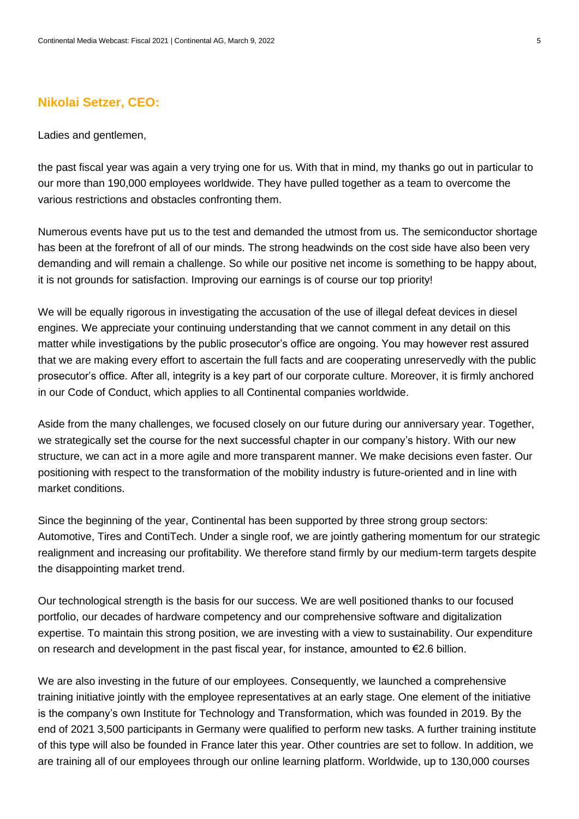#### **Nikolai Setzer, CEO:**

#### Ladies and gentlemen,

the past fiscal year was again a very trying one for us. With that in mind, my thanks go out in particular to our more than 190,000 employees worldwide. They have pulled together as a team to overcome the various restrictions and obstacles confronting them.

Numerous events have put us to the test and demanded the utmost from us. The semiconductor shortage has been at the forefront of all of our minds. The strong headwinds on the cost side have also been very demanding and will remain a challenge. So while our positive net income is something to be happy about, it is not grounds for satisfaction. Improving our earnings is of course our top priority!

We will be equally rigorous in investigating the accusation of the use of illegal defeat devices in diesel engines. We appreciate your continuing understanding that we cannot comment in any detail on this matter while investigations by the public prosecutor's office are ongoing. You may however rest assured that we are making every effort to ascertain the full facts and are cooperating unreservedly with the public prosecutor's office. After all, integrity is a key part of our corporate culture. Moreover, it is firmly anchored in our Code of Conduct, which applies to all Continental companies worldwide.

Aside from the many challenges, we focused closely on our future during our anniversary year. Together, we strategically set the course for the next successful chapter in our company's history. With our new structure, we can act in a more agile and more transparent manner. We make decisions even faster. Our positioning with respect to the transformation of the mobility industry is future-oriented and in line with market conditions.

Since the beginning of the year, Continental has been supported by three strong group sectors: Automotive, Tires and ContiTech. Under a single roof, we are jointly gathering momentum for our strategic realignment and increasing our profitability. We therefore stand firmly by our medium-term targets despite the disappointing market trend.

Our technological strength is the basis for our success. We are well positioned thanks to our focused portfolio, our decades of hardware competency and our comprehensive software and digitalization expertise. To maintain this strong position, we are investing with a view to sustainability. Our expenditure on research and development in the past fiscal year, for instance, amounted to  $\epsilon$ 2.6 billion.

We are also investing in the future of our employees. Consequently, we launched a comprehensive training initiative jointly with the employee representatives at an early stage. One element of the initiative is the company's own Institute for Technology and Transformation, which was founded in 2019. By the end of 2021 3,500 participants in Germany were qualified to perform new tasks. A further training institute of this type will also be founded in France later this year. Other countries are set to follow. In addition, we are training all of our employees through our online learning platform. Worldwide, up to 130,000 courses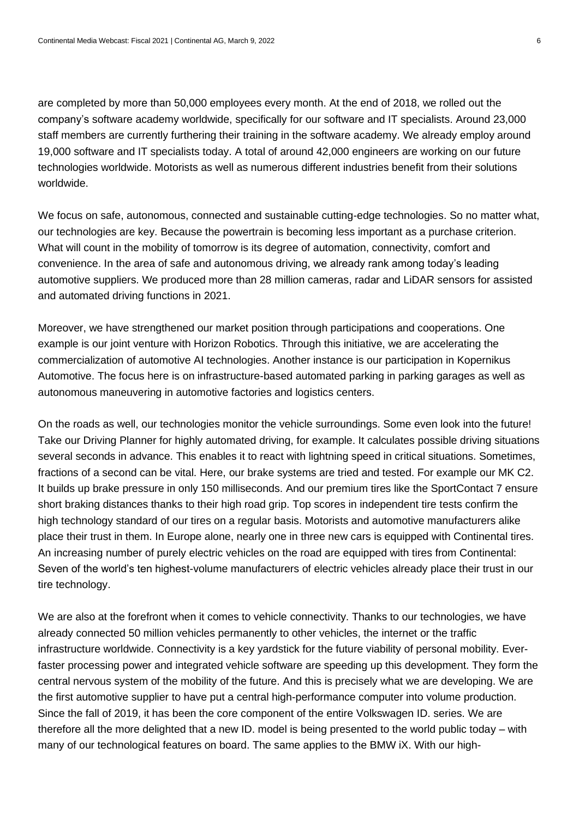are completed by more than 50,000 employees every month. At the end of 2018, we rolled out the company's software academy worldwide, specifically for our software and IT specialists. Around 23,000 staff members are currently furthering their training in the software academy. We already employ around 19,000 software and IT specialists today. A total of around 42,000 engineers are working on our future technologies worldwide. Motorists as well as numerous different industries benefit from their solutions worldwide.

We focus on safe, autonomous, connected and sustainable cutting-edge technologies. So no matter what, our technologies are key. Because the powertrain is becoming less important as a purchase criterion. What will count in the mobility of tomorrow is its degree of automation, connectivity, comfort and convenience. In the area of safe and autonomous driving, we already rank among today's leading automotive suppliers. We produced more than 28 million cameras, radar and LiDAR sensors for assisted and automated driving functions in 2021.

Moreover, we have strengthened our market position through participations and cooperations. One example is our joint venture with Horizon Robotics. Through this initiative, we are accelerating the commercialization of automotive AI technologies. Another instance is our participation in Kopernikus Automotive. The focus here is on infrastructure-based automated parking in parking garages as well as autonomous maneuvering in automotive factories and logistics centers.

On the roads as well, our technologies monitor the vehicle surroundings. Some even look into the future! Take our Driving Planner for highly automated driving, for example. It calculates possible driving situations several seconds in advance. This enables it to react with lightning speed in critical situations. Sometimes, fractions of a second can be vital. Here, our brake systems are tried and tested. For example our MK C2. It builds up brake pressure in only 150 milliseconds. And our premium tires like the SportContact 7 ensure short braking distances thanks to their high road grip. Top scores in independent tire tests confirm the high technology standard of our tires on a regular basis. Motorists and automotive manufacturers alike place their trust in them. In Europe alone, nearly one in three new cars is equipped with Continental tires. An increasing number of purely electric vehicles on the road are equipped with tires from Continental: Seven of the world's ten highest-volume manufacturers of electric vehicles already place their trust in our tire technology.

We are also at the forefront when it comes to vehicle connectivity. Thanks to our technologies, we have already connected 50 million vehicles permanently to other vehicles, the internet or the traffic infrastructure worldwide. Connectivity is a key yardstick for the future viability of personal mobility. Everfaster processing power and integrated vehicle software are speeding up this development. They form the central nervous system of the mobility of the future. And this is precisely what we are developing. We are the first automotive supplier to have put a central high-performance computer into volume production. Since the fall of 2019, it has been the core component of the entire Volkswagen ID. series. We are therefore all the more delighted that a new ID. model is being presented to the world public today – with many of our technological features on board. The same applies to the BMW iX. With our high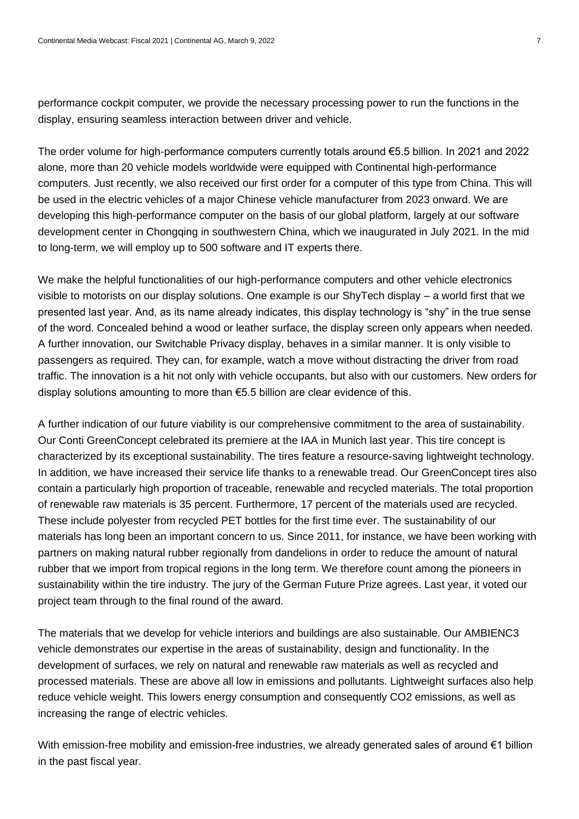performance cockpit computer, we provide the necessary processing power to run the functions in the display, ensuring seamless interaction between driver and vehicle.

The order volume for high-performance computers currently totals around €5.5 billion. In 2021 and 2022 alone, more than 20 vehicle models worldwide were equipped with Continental high-performance computers. Just recently, we also received our first order for a computer of this type from China. This will be used in the electric vehicles of a major Chinese vehicle manufacturer from 2023 onward. We are developing this high-performance computer on the basis of our global platform, largely at our software development center in Chongqing in southwestern China, which we inaugurated in July 2021. In the mid to long-term, we will employ up to 500 software and IT experts there.

We make the helpful functionalities of our high-performance computers and other vehicle electronics visible to motorists on our display solutions. One example is our ShyTech display – a world first that we presented last year. And, as its name already indicates, this display technology is "shy" in the true sense of the word. Concealed behind a wood or leather surface, the display screen only appears when needed. A further innovation, our Switchable Privacy display, behaves in a similar manner. It is only visible to passengers as required. They can, for example, watch a move without distracting the driver from road traffic. The innovation is a hit not only with vehicle occupants, but also with our customers. New orders for display solutions amounting to more than €5.5 billion are clear evidence of this.

A further indication of our future viability is our comprehensive commitment to the area of sustainability. Our Conti GreenConcept celebrated its premiere at the IAA in Munich last year. This tire concept is characterized by its exceptional sustainability. The tires feature a resource-saving lightweight technology. In addition, we have increased their service life thanks to a renewable tread. Our GreenConcept tires also contain a particularly high proportion of traceable, renewable and recycled materials. The total proportion of renewable raw materials is 35 percent. Furthermore, 17 percent of the materials used are recycled. These include polyester from recycled PET bottles for the first time ever. The sustainability of our materials has long been an important concern to us. Since 2011, for instance, we have been working with partners on making natural rubber regionally from dandelions in order to reduce the amount of natural rubber that we import from tropical regions in the long term. We therefore count among the pioneers in sustainability within the tire industry. The jury of the German Future Prize agrees. Last year, it voted our project team through to the final round of the award.

The materials that we develop for vehicle interiors and buildings are also sustainable. Our AMBIENC3 vehicle demonstrates our expertise in the areas of sustainability, design and functionality. In the development of surfaces, we rely on natural and renewable raw materials as well as recycled and processed materials. These are above all low in emissions and pollutants. Lightweight surfaces also help reduce vehicle weight. This lowers energy consumption and consequently CO2 emissions, as well as increasing the range of electric vehicles.

With emission-free mobility and emission-free industries, we already generated sales of around €1 billion in the past fiscal year.